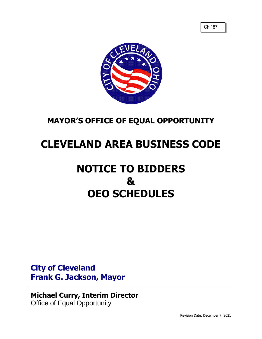

## **MAYOR'S OFFICE OF EQUAL OPPORTUNITY**

## **CLEVELAND AREA BUSINESS CODE**

# **NOTICE TO BIDDERS & OEO SCHEDULES**

### **City of Cleveland Frank G. Jackson, Mayor**

### **Michael Curry, Interim Director** Office of Equal Opportunity

Revision Date: December 7, 2021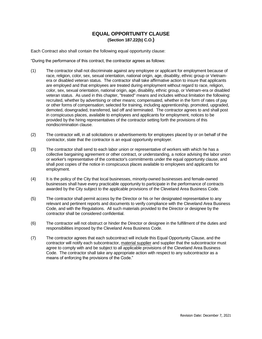#### **EQUAL OPPORTUNITY CLAUSE (Section 187.22(b) C.O.)**

Each Contract also shall contain the following equal opportunity clause:

"During the performance of this contract, the contractor agrees as follows:

- (1) The contractor shall not discriminate against any employee or applicant for employment because of race, religion, color, sex, sexual orientation, national origin, age, disability, ethnic group or Vietnamera or disabled veteran status. The contractor shall take affirmative action to insure that applicants are employed and that employees are treated during employment without regard to race, religion, color, sex, sexual orientation, national origin, age, disability, ethnic group, or Vietnam-era or disabled veteran status. As used in this chapter, "treated" means and includes without limitation the following: recruited, whether by advertising or other means; compensated, whether in the form of rates of pay or other forms of compensation; selected for training, including apprenticeship, promoted, upgraded, demoted, downgraded, transferred, laid off and terminated. The contractor agrees to and shall post in conspicuous places, available to employees and applicants for employment, notices to be provided by the hiring representatives of the contractor setting forth the provisions of this nondiscrimination clause.
- (2) The contractor will, in all solicitations or advertisements for employees placed by or on behalf of the contractor, state that the contractor is an equal opportunity employer.
- (3) The contractor shall send to each labor union or representative of workers with which he has a collective bargaining agreement or other contract, or understanding, a notice advising the labor union or worker's representative of the contractor's commitments under the equal opportunity clause, and shall post copies of the notice in conspicuous places available to employees and applicants for employment.
- (4) It is the policy of the City that local businesses, minority-owned businesses and female-owned businesses shall have every practicable opportunity to participate in the performance of contracts awarded by the City subject to the applicable provisions of the Cleveland Area Business Code.
- (5) The contractor shall permit access by the Director or his or her designated representative to any relevant and pertinent reports and documents to verify compliance with the Cleveland Area Business Code, and with the Regulations. All such materials provided to the Director or designee by the contractor shall be considered confidential.
- (6) The contractor will not obstruct or hinder the Director or designee in the fulfillment of the duties and responsibilities imposed by the Cleveland Area Business Code.
- (7) The contractor agrees that each subcontract will include this Equal Opportunity Clause, and the contractor will notify each subcontractor, material supplier and supplier that the subcontractor must agree to comply with and be subject to all applicable provisions of the Cleveland Area Business Code. The contractor shall take any appropriate action with respect to any subcontractor as a means of enforcing the provisions of the Code."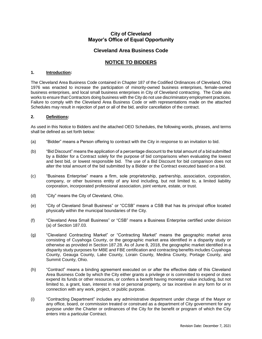#### **City of Cleveland Mayor's Office of Equal Opportunity**

#### **Cleveland Area Business Code**

#### **NOTICE TO BIDDERS**

#### **1. Introduction:**

The Cleveland Area Business Code contained in Chapter 187 of the Codified Ordinances of Cleveland, Ohio 1976 was enacted to increase the participation of minority-owned business enterprises, female-owned business enterprises, and local small business enterprises in City of Cleveland contracting. The Code also works to ensure that Contractors doing business with the City do not use discriminatory employment practices. Failure to comply with the Cleveland Area Business Code or with representations made on the attached Schedules may result in rejection of part or all of the bid, and/or cancellation of the contract.

#### **2. Definitions:**

As used in this Notice to Bidders and the attached OEO Schedules, the following words, phrases, and terms shall be defined as set forth below:

- (a) "Bidder" means a Person offering to contract with the City in response to an invitation to bid.
- (b) "Bid Discount" means the application of a percentage discount to the total amount of a bid submitted by a Bidder for a Contract solely for the purpose of bid comparisons when evaluating the lowest and best bid, or lowest responsible bid. The use of a Bid Discount for bid comparison does not alter the total amount of the bid submitted by a Bidder or the Contract executed based on a bid.
- (c) "Business Enterprise" means a firm, sole proprietorship, partnership, association, corporation, company, or other business entity of any kind including, but not limited to, a limited liability corporation, incorporated professional association, joint venture, estate, or trust.
- (d) "City" means the City of Cleveland, Ohio.
- (e) "City of Cleveland Small Business" or "CCSB" means a CSB that has its principal office located physically within the municipal boundaries of the City.
- (f) "Cleveland Area Small Business" or "CSB" means a Business Enterprise certified under division (a) of Section 187.03.
- (g) "Cleveland Contracting Market" or "Contracting Market" means the geographic market area consisting of Cuyahoga County, or the geographic market area identified in a disparity study or otherwise as provided in Section 187.28. As of June 8, 2018, the geographic market identified in a disparity study purposes for MBE and FBE certification and contracting benefits includes Cuyahoga County, Geauga County, Lake County, Lorain County, Medina County, Portage County, and Summit County, Ohio.
- (h) "Contract" means a binding agreement executed on or after the effective date of this Cleveland Area Business Code by which the City either grants a privilege or is committed to expend or does expend its funds or other resources, or confers a benefit having monetary value including, but not limited to, a grant, loan, interest in real or personal property, or tax incentive in any form for or in connection with any work, project, or public purpose.
- (i) "Contracting Department" includes any administrative department under charge of the Mayor or any office, board, or commission treated or construed as a department of City government for any purpose under the Charter or ordinances of the City for the benefit or program of which the City enters into a particular Contract.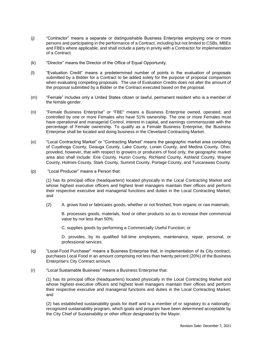- (j) "Contractor" means a separate or distinguishable Business Enterprise employing one or more persons and participating in the performance of a Contract, including but not limited to CSBs, MBEs and FBEs where applicable, and shall include a party in privity with a Contractor for implementation of a Contract.
- (k) "Director" means the Director of the Office of Equal Opportunity.
- (l) "Evaluation Credit" means a predetermined number of points in the evaluation of proposals submitted by a Bidder for a Contract to be added solely for the purpose of proposal comparison when evaluating competing proposals. The use of Evaluation Credits does not alter the amount of the proposal submitted by a Bidder or the Contract executed based on the proposal.
- (m) "Female" includes only a United States citizen or lawful, permanent resident who is a member of the female gender.
- (n) "Female Business Enterprise" or "FBE" means a Business Enterprise owned, operated, and controlled by one or more Females who have 51% ownership. The one or more Females must have operational and managerial Control, interest in capital, and earnings commensurate with the percentage of Female ownership. To qualify as a Female Business Enterprise, the Business Enterprise shall be located and doing business in the Cleveland Contracting Market.
- (o) "Local Contracting Market" or "Contracting Market" means the geographic market area consisting of Cuyahoga County, Geauga County, Lake County, Lorain County, and Medina County, Ohio; provided, however, that with respect to growers or producers of food only, the geographic market area also shall include: Erie County, Huron County, Richland County, Ashland County, Wayne County, Holmes County, Stark County, Summit County, Portage County, and Tuscarawas County.
- (p) "Local Producer" means a Person that:

(1) has its principal office (headquarters) located physically in the Local Contracting Market and whose highest executive officers and highest level managers maintain their offices and perform their respective executive and managerial functions and duties in the Local Contracting Market; and

(2) A. grows food or fabricates goods, whether or not finished, from organic or raw materials;

B. processes goods, materials, food or other products so as to increase their commercial value by not less than 50%;

C. supplies goods by performing a Commercially Useful Function; or

D. provides, by its qualified full-time employees, maintenance, repair, personal, or professional services.

- (q) "Local-Food Purchaser" means a Business Enterprise that, in implementation of its City contract, purchases Local Food in an amount comprising not less than twenty percent (20%) of the Business Enterprise's City Contract amount.
- (r) "Local Sustainable Business" means a Business Enterprise that:

(1) has its principal office (headquarters) located physically in the Local Contracting Market and whose highest executive officers and highest level managers maintain their offices and perform their respective executive and managerial functions and duties in the Local Contracting Market; and

(2) has established sustainability goals for itself and is a member of or signatory to a nationallyrecognized sustainability program, which goals and program have been determined acceptable by the City Chief of Sustainability or other officer designated by the Mayor.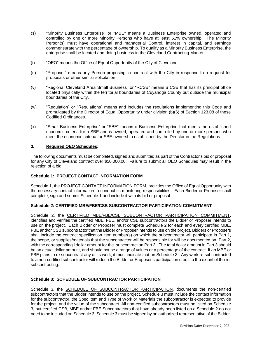- (s) "Minority Business Enterprise" or "MBE" means a Business Enterprise owned, operated and controlled by one or more Minority Persons who have at least 51% ownership. The Minority Person(s) must have operational and managerial Control, interest in capital, and earnings commensurate with the percentage of ownership. To qualify as a Minority Business Enterprise, the enterprise shall be located and doing business in the Cleveland Contracting Market.
- (t) "OEO" means the Office of Equal Opportunity of the City of Cleveland.
- (u) "Proposer" means any Person proposing to contract with the City in response to a request for proposals or other similar solicitation.
- (v) "Regional Cleveland Area Small Business" or "RCSB" means a CSB that has its principal office located physically within the territorial boundaries of Cuyahoga County but outside the municipal boundaries of the City.
- (w) "Regulation" or "Regulations" means and includes the regulations implementing this Code and promulgated by the Director of Equal Opportunity under division (b)(6) of Section 123.08 of these Codified Ordinances.
- (x) "Small Business Enterprise" or "SBE" means a Business Enterprise that meets the established economic criteria for a SBE and is owned, operated and controlled by one or more persons who meet the economic criteria for SBE ownership established by the Director in the Regulations.

#### **3. Required OEO Schedules:**

The following documents must be completed, signed and submitted as part of the Contractor's bid or proposal for any City of Cleveland contract over \$50,000.00. Failure to submit all OEO Schedules may result in the rejection of a bid.

#### **Schedule 1: PROJECT CONTACT INFORMATION FORM**

Schedule 1, the **PROJECT CONTACT INFORMATION FORM**, provides the Office of Equal Opportunity with the necessary contact information to conduct its monitoring responsibilities. Each Bidder or Proposer shall complete, sign and submit Schedule 1 and include it with its bid or proposal.

#### **Schedule 2: CERTIFIED MBE/FBE/CSB SUBCONTRACTOR PARTICIPATION COMMITMENT**

Schedule 2, the CERTIFIED MBE/FBE/CSB SUBCONTRACTOR PARTICIPATION COMMITMENT, identifies and verifies the certified MBE, FBE, and/or CSB subcontractors the Bidder or Proposer intends to use on the project. Each Bidder or Proposer must complete Schedule 2 for each and every certified MBE, FBE and/or CSB subcontractor that the Bidder or Proposer intends to use on the project. Bidders or Proposers shall include the contract specification item number(s) on which the subcontractor will participate in Part 1, the scope, or supplies/materials that the subcontractor will be responsible for will be documented on Part 2, with the corresponding l dollar amount for the subcontract on Part 3. The total dollar amount in Part 3 should be an actual dollar amount, and should not be a range of values or a percentage of the contract. If an MBE or FBE plans to re-subcontract any of its work, it must indicate that on Schedule 3. Any work re-subcontracted to a non-certified subcontractor will reduce the Bidder or Proposer's participation credit to the extent of the resubcontracting.

#### **Schedule 3: SCHEDULE OF SUBCONTRACTOR PARTICIPATION**

Schedule 3, the **SCHEDULE OF SUBCONTRACTOR PARTICIPATION**, documents the non-certified subcontractors that the Bidder intends to use on the project. Schedule 3 must include the contact information for the subcontractor, the Spec Item and Type of Work or Materials the subcontractor is expected to provide for the project, and the value of the subcontract. All non-certified subcontractors must be listed on Schedule 3, but certified CSB, MBE and/or FBE Subcontractors that have already been listed on a Schedule 2 do not need to be included on Schedule 3. Schedule 3 must be signed by an authorized representative of the Bidder.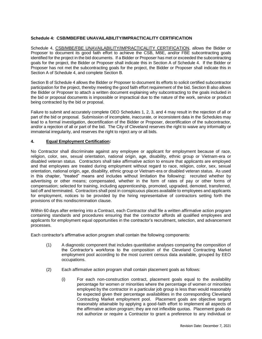#### **Schedule 4: CSB/MBE/FBE UNAVAILABILITY/IMPRACTICALITY CERTIFICATION**

Schedule 4, CSB/MBE/FBE UNAVAILABILITY/IMPRACTICALITY CERTIFICATION, allows the Bidder or Proposer to document its good faith effort to achieve the CSB, MBE, and/or FBE subcontracting goals identified for the project in the bid documents. If a Bidder or Proposer has met or exceeded the subcontracting goals for the project, the Bidder or Proposer shall indicate this in Section A of Schedule 4. If the Bidder or Proposer has not met the subcontracting goals for the project, the Bidder or Proposer shall indicate this in Section A of Schedule 4, and complete Section B.

Section B of Schedule 4 allows the Bidder or Proposer to document its efforts to solicit certified subcontractor participation for the project, thereby meeting the good faith effort requirement of the bid. Section B also allows the Bidder or Proposer to attach a written document explaining why subcontracting to the goals included in the bid or proposal documents is impossible or impractical due to the nature of the work, service or product being contracted by the bid or proposal.

Failure to submit and accurately complete OEO Schedules 1, 2, 3, and 4 may result in the rejection of all or part of the bid or proposal. Submission of incomplete, inaccurate, or inconsistent data in the Schedules may lead to a formal investigation, decertification of the Bidder or Proposer, decertification of the subcontractor, and/or a rejection of all or part of the bid. The City of Cleveland reserves the right to waive any informality or immaterial irregularity, and reserves the right to reject any or all bids.

#### **4. Equal Employment Certification:**

No Contractor shall discriminate against any employee or applicant for employment because of race, religion, color, sex, sexual orientation, national origin, age, disability, ethnic group or Vietnam-era or disabled veteran status. Contractors shall take affirmative action to ensure that applicants are employed and that employees are treated during employment without regard to race, religion, color, sex, sexual orientation, national origin, age, disability, ethnic group or Vietnam-era or disabled veteran status. As used in this chapter, "treated" means and includes without limitation the following: recruited whether by advertising or other means; compensated, whether in the form of rates of pay or other forms of compensation; selected for training, including apprenticeship, promoted, upgraded, demoted, transferred, laid off and terminated. Contractors shall post in conspicuous places available to employees and applicants for employment, notices to be provided by the hiring representative of contractors setting forth the provisions of this nondiscrimination clause.

Within 60 days after entering into a Contract, each Contractor shall file a written affirmative action program containing standards and procedures ensuring that the contractor affords all qualified employees and applicants for employment equal opportunities in the contractor's recruitment, selection, and advancement processes.

Each contractor's affirmative action program shall contain the following components:

- (1) A diagnostic component that includes quantitative analyses comparing the composition of the Contractor's workforce to the composition of the Cleveland Contracting Market employment pool according to the most current census data available, grouped by EEO occupations.
- (2) Each affirmative action program shall contain placement goals as follows:
	- (i) For each non-construction contract, placement goals equal to the availability percentage for women or minorities where the percentage of women or minorities employed by the contractor in a particular job group is less than would reasonably be expected given their percentage availabilities in the corresponding Cleveland Contracting Market employment pool. Placement goals are objective targets reasonably attainable by applying a good-faith effort to implement all aspects of the affirmative action program; they are not inflexible quotas. Placement goals do not authorize or require a Contractor to grant a preference to any individual or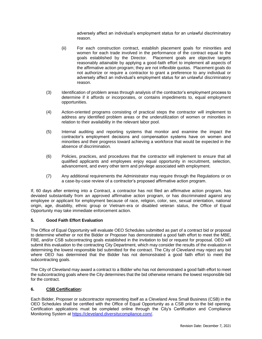adversely affect an individual's employment status for an unlawful discriminatory reason.

- (ii) For each construction contract, establish placement goals for minorities and women for each trade involved in the performance of the contract equal to the goals established by the Director. Placement goals are objective targets reasonably attainable by applying a good-faith effort to implement all aspects of the affirmative action program; they are not inflexible quotas. Placement goals do not authorize or require a contractor to grant a preference to any individual or adversely affect an individual's employment status for an unlawful discriminatory reason.
- (3) Identification of problem areas through analysis of the contractor's employment process to determine if it affords or incorporates, or contains impediments to, equal employment opportunities.
- (4) Action-oriented programs consisting of practical steps the contractor will implement to address any identified problem areas or the underutilization of women or minorities in relation to their availability in the relevant labor pool.
- (5) Internal auditing and reporting systems that monitor and examine the impact the contractor's employment decisions and compensation systems have on women and minorities and their progress toward achieving a workforce that would be expected in the absence of discrimination.
- (6) Policies, practices, and procedures that the contractor will implement to ensure that all qualified applicants and employees enjoy equal opportunity in recruitment, selection, advancement, and every other term and privilege associated with employment.
- (7) Any additional requirements the Administrator may require through the Regulations or on a case-by-case review of a contractor's proposed affirmative action program.

If, 60 days after entering into a Contract, a contractor has not filed an affirmative action program, has deviated substantially from an approved affirmative action program, or has discriminated against any employee or applicant for employment because of race, religion, color, sex, sexual orientation, national origin, age, disability, ethnic group or Vietnam-era or disabled veteran status, the Office of Equal Opportunity may take immediate enforcement action.

#### **5. Good Faith Effort Evaluation**

The Office of Equal Opportunity will evaluate OEO Schedules submitted as part of a contract bid or proposal to determine whether or not the Bidder or Proposer has demonstrated a good faith effort to meet the MBE, FBE, and/or CSB subcontracting goals established in the invitation to bid or request for proposal. OEO will submit this evaluation to the contracting City Department, which may consider the results of the evaluation in determining the lowest responsible bid submitted for the contract. The City of Cleveland may reject any bid where OEO has determined that the Bidder has not demonstrated a good faith effort to meet the subcontracting goals.

The City of Cleveland may award a contract to a Bidder who has not demonstrated a good faith effort to meet the subcontracting goals where the City determines that the bid otherwise remains the lowest responsible bid for the contract.

#### **6. CSB Certification:**

Each Bidder, Proposer or subcontractor representing itself as a Cleveland Area Small Business (CSB) in the OEO Schedules shall be certified with the Office of Equal Opportunity as a CSB prior to the bid opening. Certification applications must be completed online through the City's Certification and Compliance Monitoring System at [https://cleveland.diversitycompliance.com/.](https://cleveland.diversitycompliance.com/)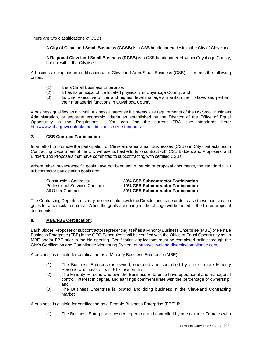There are two classifications of CSBs:

A **City of Cleveland Small Business (CCSB**) is a CSB headquartered within the City of Cleveland.

A **Regional Cleveland Small Business (RCSB)** is a CSB headquartered within Cuyahoga County, but not within the City itself.

A business is eligible for certification as a Cleveland Area Small Business (CSB) if it meets the following criteria:

- (1) It is a Small Business Enterprise;<br>(2) It has its principal office located p
- It has its principal office located physically in Cuyahoga County; and
- (3) Its chief executive officer and highest level managers maintain their offices and perform their managerial functions in Cuyahoga County.

A business qualifies as a Small Business Enterprise if it meets size requirements of the US Small Business Administration, or separate economic criteria as established by the Director of the Office of Equal Opportunity in the Regulations. You can find the current SBA size standards here: <http://www.sba.gov/content/small-business-size-standards>

#### **7. CSB Contract Participation**

In an effort to promote the participation of Cleveland-area Small Businesses (CSBs) in City contracts, each Contracting Department of the City will use its best efforts to contract with CSB Bidders and Proposers, and Bidders and Proposers that have committed to subcontracting with certified CSBs.

Where other, project-specific goals have not been set in the bid or proposal documents, the standard CSB subcontractor participation goals are:

Construction Contracts: **30% CSB Subcontractor Participation** Professional Services Contracts: **10% CSB Subcontractor Participation** All Other Contracts: **20% CSB Subcontractor Participation**

The Contracting Departments may, in consultation with the Director, increase or decrease these participation goals for a particular contract. When the goals are changed, the change will be noted in the bid or proposal documents.

#### **8. MBE/FBE Certification:**

Each Bidder, Proposer or subcontractor representing itself as a Minority Business Enterprise (MBE) or Female Business Enterprise (FBE) in the OEO Schedules shall be certified with the Office of Equal Opportunity as an MBE and/or FBE prior to the bid opening. Certification applications must be completed online through the City's Certification and Compliance Monitoring System at [https://cleveland.diversitycompliance.com/.](https://cleveland.diversitycompliance.com/)

A business is eligible for certification as a Minority Business Enterprise (MBE) if:

- (1) The Business Enterprise is owned, operated and controlled by one or more Minority Persons who have at least 51% ownership;
- (2) The Minority Persons who own the Business Enterprise have operational and managerial control, interest in capital, and earnings commensurate with the percentage of ownership; and
- (3) The Business Enterprise is located and doing business in the Cleveland Contracting Market.

A business is eligible for certification as a Female Business Enterprise (FBE) if:

(1) The Business Enterprise is owned, operated and controlled by one or more Females who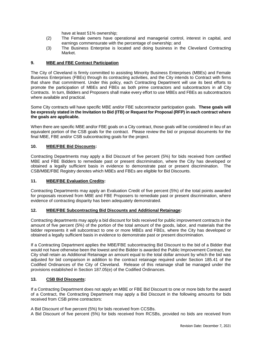have at least 51% ownership;

- (2) The Female owners have operational and managerial control, interest in capital, and earnings commensurate with the percentage of ownership; and
- (3) The Business Enterprise is located and doing business in the Cleveland Contracting Market.

#### **9. MBE and FBE Contract Participation**

The City of Cleveland is firmly committed to assisting Minority Business Enterprises (MBEs) and Female Business Enterprises (FBEs) through its contracting activities, and the City intends to Contract with firms that share that commitment. Under this policy, each Contracting Department will use its best efforts to promote the participation of MBEs and FBEs as both prime contractors and subcontractors in all City Contracts. In turn, Bidders and Proposers shall make every effort to use MBEs and FBEs as subcontractors where available and practical.

Some City contracts will have specific MBE and/or FBE subcontractor participation goals. **These goals will be expressly stated in the Invitation to Bid (ITB) or Request for Proposal (RFP) in each contract where the goals are applicable.**

When there are specific MBE and/or FBE goals on a City contract, those goals will be considered in lieu of an equivalent portion of the CSB goals for the contract. Please review the bid or proposal documents for the final MBE, FBE and/or CSB subcontracting goals for the project.

#### **10. MBE/FBE Bid Discounts:**

Contracting Departments may apply a Bid Discount of five percent (5%) for bids received from certified MBE and FBE Bidders to remediate past or present discrimination, where the City has developed or obtained a legally sufficient basis in evidence to demonstrate past or present discrimination. The CSB/MBE/FBE Registry denotes which MBEs and FBEs are eligible for Bid Discounts.

#### **11. MBE/FBE Evaluation Credits:**

Contracting Departments may apply an Evaluation Credit of five percent (5%) of the total points awarded for proposals received from MBE and FBE Proposers to remediate past or present discrimination, where evidence of contracting disparity has been adequately demonstrated.

#### **12. MBE/FBE Subcontracting Bid Discounts and Additional Retainage:**

Contracting departments may apply a bid discount for bids received for public improvement contracts in the amount of five percent (5%) of the portion of the total amount of the goods, labor, and materials that the bidder represents it will subcontract to one or more MBEs and FBEs, where the City has developed or obtained a legally sufficient basis in evidence to demonstrate past or present discrimination.

If a Contracting Department applies the MBE/FBE subcontracting Bid Discount to the bid of a Bidder that would not have otherwise been the lowest and the Bidder is awarded the Public Improvement Contract, the City shall retain as Additional Retainage an amount equal to the total dollar amount by which the bid was adjusted for bid comparison in addition to the contract retainage required under Section 185.41 of the Codified Ordinances of the City of Cleveland. Release of this retainage shall be managed under the provisions established in Section 187.05(e) of the Codified Ordinances.

#### **13. CSB Bid Discounts:**

If a Contracting Department does not apply an MBE or FBE Bid Discount to one or more bids for the award of a Contract, the Contracting Department may apply a Bid Discount in the following amounts for bids received from CSB prime contractors:

A Bid Discount of five percent (5%) for bids received from CCSBs.

A Bid Discount of five percent (5%) for bids received from RCSBs, provided no bids are received from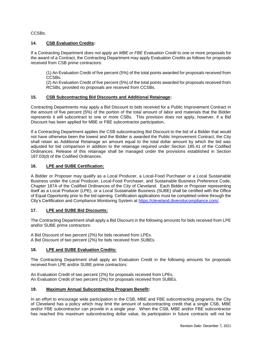CCSBs.

#### **14. CSB Evaluation Credits:**

If a Contracting Department *does not apply an MBE or FBE Evaluation Credit* to one or more proposals for the award of a Contract, the Contracting Department may apply Evaluation Credits as follows for proposals received from CSB prime contractors:

(1) An Evaluation Credit of five percent (5%) of the total points awarded for proposals received from CCSBs.

(2) An Evaluation Credit of five percent (5%) of the total points awarded for proposals received from RCSBs, provided no proposals are received from CCSBs.

#### **15. CSB Subcontracting Bid Discounts and Additional Retainage:**

Contracting Departments may apply a Bid Discount to bids received for a Public Improvement Contract in the amount of five percent (5%) of the portion of the total amount of labor and materials that the Bidder represents it will subcontract to one or more CSBs. This provision does not apply, however, if a Bid Discount has been applied for MBE or FBE subcontractor participation,

If a Contracting Department applies the CSB subcontracting Bid Discount to the bid of a Bidder that would not have otherwise been the lowest and the Bidder is awarded the Public Improvement Contract, the City shall retain as Additional Retainage an amount equal to the total dollar amount by which the bid was adjusted for bid comparison in addition to the retainage required under Section 185.41 of the Codified Ordinances. Release of this retainage shall be managed under the provisions established in Section 187.03(d) of the Codified Ordinances.

#### **16. LPE and SUBE Certification:**

A Bidder or Proposer may qualify as a Local Producer, a Local-Food Purchaser or a Local Sustainable Business under the Local Producer, Local-Food Purchaser, and Sustainable Business Preference Code, Chapter 187A of the Codified Ordinances of the City of Cleveland. Each Bidder or Proposer representing itself as a Local Producer (LPE), or a Local Sustainable Business (SUBE) shall be certified with the Office of Equal Opportunity prior to the bid opening. Certification applications must be completed online through the City's Certification and Compliance Monitoring System at [https://cleveland.diversitycompliance.com/.](https://cleveland.diversitycompliance.com/)

#### **17. LPE and SUBE Bid Discounts:**

The Contracting Department shall apply a Bid Discount in the following amounts for bids received from LPE and/or SUBE prime contractors:

A Bid Discount of two percent (2%) for bids received from LPEs. A Bid Discount of two percent (2%) for bids received from SUBEs.

#### **18. LPE and SUBE Evaluation Credits:**

The Contracting Department shall apply an Evaluation Credit in the following amounts for proposals received from LPE and/or SUBE prime contractors:

An Evaluation Credit of two percent (2%) for proposals received from LPEs. An Evaluation Credit of two percent (2%) for proposals received from SUBEs.

#### **19. Maximum Annual Subcontracting Program Benefit:**

In an effort to encourage wide participation in the CSB, MBE and FBE subcontracting programs, the City of Cleveland has a policy which may limit the amount of subcontracting credit that a single CSB, MBE and/or FBE subcontractor can provide in a single year. When the CSB, MBE and/or FBE subcontractor has reached this maximum subcontracting dollar value, its participation in future contracts will not be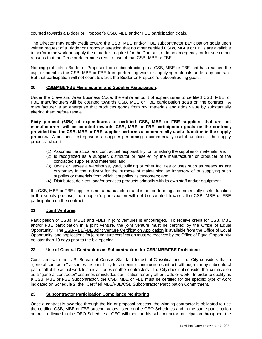counted towards a Bidder or Proposer's CSB, MBE and/or FBE participation goals.

The Director may apply credit toward the CSB, MBE and/or FBE subcontractor participation goals upon written request of a Bidder or Proposer attesting that no other certified CSBs, MBEs or FBEs are available to perform the work or supply the materials required for the Contract, or in an emergency, or for such other reasons that the Director determines require use of that CSB, MBE or FBE.

Nothing prohibits a Bidder or Proposer from subcontracting to a CSB, MBE or FBE that has reached the cap, or prohibits the CSB, MBE or FBE from performing work or supplying materials under any contract. But that participation will not count towards the Bidder or Proposer's subcontracting goals.

#### **20. CSB/MBE/FBE Manufacturer and Supplier Participation:**

Under the Cleveland Area Business Code, the entire amount of expenditures to certified CSB, MBE, or FBE manufacturers will be counted towards CSB, MBE or FBE participation goals on the contract. A manufacturer is an enterprise that produces goods from raw materials and adds value by substantially altering them before resale.

**Sixty percent (60%) of expenditures to certified CSB, MBE or FBE suppliers that are not manufacturers will be counted towards CSB, MBE or FBE participation goals on the contract, provided that the CSB, MBE or FBE supplier performs a commercially useful function in the supply process.** A business enterprise is a supplier performing a commercially useful function in the supply process" when it:

- (1) Assumes the actual and contractual responsibility for furnishing the supplies or materials; and
- (2) Is recognized as a supplier, distributor or reseller by the manufacturer or producer of the contracted supplies and materials; and
- (3) Owns or leases a warehouse, yard, building or other facilities or uses such as means as are customary in the industry for the purpose of maintaining an inventory of or supplying such supplies or materials from which it supplies its customers; and
- (4) Distributes, delivers, and/or services products primarily with its own staff and/or equipment.

If a CSB, MBE or FBE supplier is not a manufacturer and is not performing a commercially useful function in the supply process, the supplier's participation will not be counted towards the CSB, MBE or FBE participation on the contract.

#### **21. Joint Ventures:**

Participation of CSBs, MBEs and FBEs in joint ventures is encouraged. To receive credit for CSB, MBE and/or FBE participation in a joint venture, the joint venture must be certified by the Office of Equal Opportunity. The CSB/MBE/FBE Joint Venture Certification Application is available from the Office of Equal Opportunity, and applications for joint venture certification must be received by the Office of Equal Opportunity no later than 10 days prior to the bid opening.

#### **22. Use of General Contractors as Subcontractors for CSB/ MBE/FBE Prohibited:**

Consistent with the U.S. Bureau of Census Standard Industrial Classifications, the City considers that a "general contractor" assumes responsibility for an entire construction contract, although it may subcontract part or all of the actual work to special trades or other contractors. The City does not consider that certification as a "general contractor" assumes or includes certification for any other trade or work. In order to qualify as a CSB, MBE or FBE Subcontractor, the CSB, MBE or FBE must be certified for the specific type of work indicated on Schedule 2, the Certified MBE/FBE/CSB Subcontractor Participation Commitment.

#### **23. Subcontractor Participation Compliance Monitoring**

Once a contract is awarded through the bid or proposal process, the winning contractor is obligated to use the certified CSB, MBE or FBE subcontractors listed on the OEO Schedules and in the same participation amount indicated in the OEO Schedules. OEO will monitor this subcontractor participation throughout the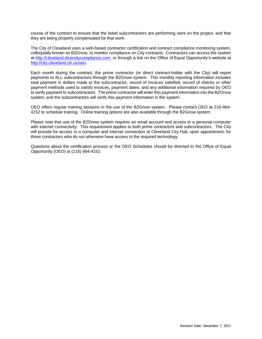course of the contract to ensure that the listed subcontractors are performing work on the project, and that they are being properly compensated for that work.

The City of Cleveland uses a web-based contractor certification and contract compliance monitoring system, colloquially known as B2Gnow, to monitor compliance on City contracts. Contractors can access the system at [http://cleveland.diversitycompliance.com,](http://cleveland.diversitycompliance.com/) or through a link on the Office of Equal Opportunity's website at [http://city.cleveland.oh.us/oeo.](http://city.cleveland.oh.us/oeo)

Each month during the contract, the prime contractor (or direct contract-holder with the City) will report payments to ALL subcontractors through the B2Gnow system. This monthly reporting information includes total payment in dollars made to the subcontractor, record of invoices satisfied, record of checks or other payment methods used to satisfy invoices, payment dates, and any additional information required by OEO to verify payment to subcontractors. The prime contractor will enter this payment information into the B2Gnow system, and the subcontractors will verify this payment information in the system.

OEO offers regular training sessions in the use of the B2Gnow system. Please contact OEO at 216-664- 4152 to schedule training. Online training options are also available through the B2Gnow system.

Please note that use of the B2Gnow system requires an email account and access to a personal computer with internet connectivity. This requirement applies to both prime contractors and subcontractors. The City will provide for access to a computer and internet connection at Cleveland City Hall, upon appointment, for those contractors who do not otherwise have access to the required technology.

Questions about the certification process or the OEO Schedules should be directed to the Office of Equal Opportunity (OEO) at (216) 664-4152.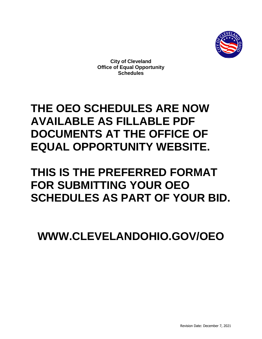

**City of Cleveland Office of Equal Opportunity Schedules** 

# **THE OEO SCHEDULES ARE NOW AVAILABLE AS FILLABLE PDF DOCUMENTS AT THE OFFICE OF EQUAL OPPORTUNITY WEBSITE.**

# **THIS IS THE PREFERRED FORMAT FOR SUBMITTING YOUR OEO SCHEDULES AS PART OF YOUR BID.**

**WWW.CLEVELANDOHIO.GOV/OEO**

Revision Date: December 7, 2021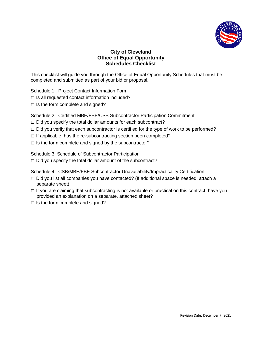

#### **City of Cleveland Office of Equal Opportunity Schedules Checklist**

This checklist will guide you through the Office of Equal Opportunity Schedules that must be completed and submitted as part of your bid or proposal.

Schedule 1: Project Contact Information Form

- $\Box$  Is all requested contact information included?
- $\Box$  Is the form complete and signed?

Schedule 2: Certified MBE/FBE/CSB Subcontractor Participation Commitment

- $\Box$  Did you specify the total dollar amounts for each subcontract?
- $\Box$  Did you verify that each subcontractor is certified for the type of work to be performed?
- $\Box$  If applicable, has the re-subcontracting section been completed?
- $\Box$  Is the form complete and signed by the subcontractor?

Schedule 3: Schedule of Subcontractor Participation  $\Box$  Did you specify the total dollar amount of the subcontract?

Schedule 4: CSB/MBE/FBE Subcontractor Unavailability/Impracticality Certification

- $\Box$  Did you list all companies you have contacted? (If additional space is needed, attach a separate sheet)
- $\Box$  If you are claiming that subcontracting is not available or practical on this contract, have you provided an explanation on a separate, attached sheet?
- $\Box$  Is the form complete and signed?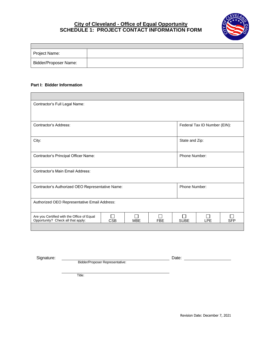#### **City of Cleveland - Office of Equal Opportunity SCHEDULE 1: PROJECT CONTACT INFORMATION FORM**



| Project Name:                |  |
|------------------------------|--|
| <b>Bidder/Proposer Name:</b> |  |

#### **Part I: Bidder Information**

| Contractor's Full Legal Name:                                                                                              |  |  |  |                |                              |            |  |
|----------------------------------------------------------------------------------------------------------------------------|--|--|--|----------------|------------------------------|------------|--|
|                                                                                                                            |  |  |  |                |                              |            |  |
|                                                                                                                            |  |  |  |                |                              |            |  |
| Contractor's Address:                                                                                                      |  |  |  |                | Federal Tax ID Number (EIN): |            |  |
|                                                                                                                            |  |  |  |                |                              |            |  |
| City:                                                                                                                      |  |  |  | State and Zip: |                              |            |  |
|                                                                                                                            |  |  |  |                |                              |            |  |
| Phone Number:<br>Contractor's Principal Officer Name:                                                                      |  |  |  |                |                              |            |  |
|                                                                                                                            |  |  |  |                |                              |            |  |
| Contractor's Main Email Address:                                                                                           |  |  |  |                |                              |            |  |
|                                                                                                                            |  |  |  |                |                              |            |  |
| Contractor's Authorized OEO Representative Name:                                                                           |  |  |  | Phone Number:  |                              |            |  |
|                                                                                                                            |  |  |  |                |                              |            |  |
| Authorized OEO Representative Email Address:                                                                               |  |  |  |                |                              |            |  |
|                                                                                                                            |  |  |  |                |                              |            |  |
| Are you Certified with the Office of Equal<br>Opportunity? Check all that apply:<br><b>CSB</b><br><b>MBE</b><br><b>FBE</b> |  |  |  |                | <b>LPE</b>                   | <b>SFP</b> |  |
|                                                                                                                            |  |  |  | <b>SUBE</b>    |                              |            |  |

Signature: Date:

Bidder/Proposer Representative:

Title: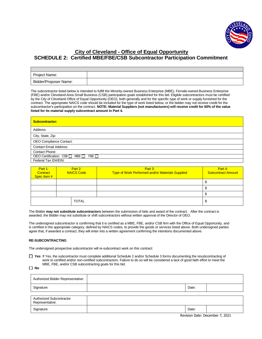

#### **City of Cleveland - Office of Equal Opportunity SCHEDULE 2: Certified MBE/FBE/CSB Subcontractor Participation Commitment**

| Project Name:         |  |
|-----------------------|--|
| Bidder/Proposer Name: |  |

The subcontractor listed below is intended to fulfill the Minority-owned Business Enterprise (MBE), Female-owned Business Enterprise (FBE) and/or Cleveland-Area Small Business (CSB) participation goals established for this bid. Eligible subcontractors must be certified by the City of Cleveland Office of Equal Opportunity (OEO), both generally and for the specific type of work or supply furnished for the contract. The appropriate NAICS code should be included for the type of work listed below, or the bidder may not receive credit for the subcontractor's participation on the contract. **NOTE: Material Suppliers (not manufacturers) will receive credit for 60% of the value listed for its material supply subcontract amount in Part 4.**

| <b>Subcontractor:</b>                |
|--------------------------------------|
| Address:                             |
| City, State, Zip:                    |
| OEO Compliance Contact:              |
| <b>Contact Email Address:</b>        |
| <b>Contact Phone:</b>                |
| OEO Certification: CSB □ MBE □ FBE □ |
| Federal Tax ID#/EIN:                 |

| Part 1:<br>Contract<br>Spec Item # | Part 2:<br><b>NAICS Code</b> | Part 3:<br>Type of Work Performed and/or Materials Supplied | Part 4:<br><b>Subcontract Amount</b> |
|------------------------------------|------------------------------|-------------------------------------------------------------|--------------------------------------|
|                                    |                              |                                                             | Φ                                    |
|                                    |                              |                                                             |                                      |
|                                    |                              |                                                             | Φ                                    |
|                                    | <b>TOTAL</b>                 |                                                             | S                                    |

The Bidder **may not substitute subcontractors** between the submission of bids and award of the contract. After the contract is awarded, the Bidder may not substitute or shift subcontractors without written approval of the Director of OEO.

The undersigned subcontractor is confirming that it is certified as a MBE, FBE, and/or CSB firm with the Office of Equal Opportunity, and is certified in the appropriate category, defined by NAICS codes, to provide the goods or services listed above. Both undersigned parties agree that, if awarded a contract, they will enter into a written agreement confirming the intentions documented above.

#### **RE-SUBCONTRACTING**

The undersigned prospective subcontractor will re-subcontract work on this contract:

 **Yes** If Yes, the subcontractor must complete additional Schedule 2 and/or Schedule 3 forms documenting the resubcontracting of work to certified and/or non-certified subcontractors. Failure to do so will be considered a lack of good faith effort to meet the MBE, FBE, and/or CSB subcontracting goals for this bid.

**No**

| Authorized Bidder Representative:           |       |  |
|---------------------------------------------|-------|--|
| Signature:                                  | Date: |  |
| Authorized Subcontractor<br>Representative: |       |  |
| Signature:                                  | Date: |  |

Revision Date: December 7, 2021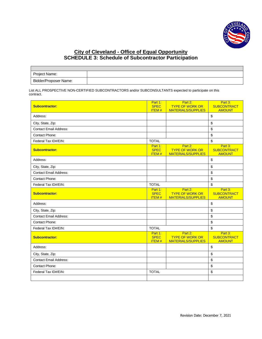

#### **City of Cleveland - Office of Equal Opportunity SCHEDULE 3: Schedule of Subcontractor Participation**

| Project Name:         |  |
|-----------------------|--|
| Bidder/Proposer Name: |  |

List ALL PROSPECTIVE NON-CERTIFIED SUBCONTRACTORS and/or SUBCONSULTANTS expected to participate on this contract.

| <b>Subcontractor:</b>         | Part 1:<br><b>SPEC</b><br><b>ITEM#</b> | Part 2:<br><b>TYPE OF WORK OR</b><br><b>MATERIALS/SUPPLIES</b> | Part 3:<br><b>SUBCONTRACT</b><br><b>AMOUNT</b> |
|-------------------------------|----------------------------------------|----------------------------------------------------------------|------------------------------------------------|
| Address:                      |                                        |                                                                | \$                                             |
| City, State, Zip:             |                                        |                                                                | \$                                             |
| <b>Contact Email Address:</b> |                                        |                                                                | \$                                             |
| Contact Phone:                |                                        |                                                                | \$                                             |
| Federal Tax ID#/EIN:          | <b>TOTAL</b>                           |                                                                | \$                                             |
| <b>Subcontractor:</b>         | Part 1:<br><b>SPEC</b><br><b>ITEM#</b> | Part 2:<br><b>TYPE OF WORK OR</b><br><b>MATERIALS/SUPPLIES</b> | Part 3:<br><b>SUBCONTRACT</b><br><b>AMOUNT</b> |
| Address:                      |                                        |                                                                | \$                                             |
| City, State, Zip:             |                                        |                                                                | \$                                             |
| <b>Contact Email Address:</b> |                                        |                                                                | \$                                             |
| Contact Phone:                |                                        |                                                                | \$                                             |
| Federal Tax ID#/EIN:          | <b>TOTAL</b>                           |                                                                | \$                                             |
| <b>Subcontractor:</b>         | Part 1:<br><b>SPEC</b><br><b>ITEM#</b> | Part 2:<br><b>TYPE OF WORK OR</b><br><b>MATERIALS/SUPPLIES</b> | Part 3:<br><b>SUBCONTRACT</b><br><b>AMOUNT</b> |
| Address:                      |                                        |                                                                | \$                                             |
| City, State, Zip:             |                                        |                                                                | \$                                             |
| <b>Contact Email Address:</b> |                                        |                                                                | \$                                             |
| Contact Phone:                |                                        |                                                                | \$                                             |
| Federal Tax ID#/EIN:          | <b>TOTAL</b>                           |                                                                | \$                                             |
| <b>Subcontractor:</b>         | Part 1:<br><b>SPEC</b><br><b>ITEM#</b> | Part 2:<br><b>TYPE OF WORK OR</b><br><b>MATERIALS/SUPPLIES</b> | Part 3:<br><b>SUBCONTRACT</b><br><b>AMOUNT</b> |
| Address:                      |                                        |                                                                | \$                                             |
| City, State, Zip:             |                                        |                                                                | \$                                             |
| <b>Contact Email Address:</b> |                                        |                                                                | \$                                             |
| Contact Phone:                |                                        |                                                                | \$                                             |
| Federal Tax ID#/EIN:          | <b>TOTAL</b>                           |                                                                | \$                                             |
|                               |                                        |                                                                |                                                |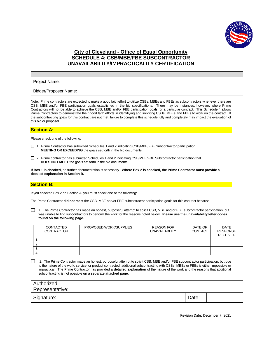

#### **City of Cleveland - Office of Equal Opportunity SCHEDULE 4: CSB/MBE/FBE SUBCONTRACTOR UNAVAILABILITY/IMPRACTICALITY CERTIFICATION**

| Project Name:                |  |
|------------------------------|--|
| <b>Bidder/Proposer Name:</b> |  |

Note: Prime contractors are expected to make a good faith effort to utilize CSBs, MBEs and FBEs as subcontractors whenever there are CSB, MBE and/or FBE participation goals established in the bid specifications. There may be instances, however, where Prime Contractors will not be able to achieve the CSB, MBE and/or FBE participation goals for a particular contract. This Schedule 4 allows Prime Contractors to demonstrate their good faith efforts in identifiying and soliciting CSBs, MBEs and FBEs to work on the contract. If the subcontracting goals for this contract are not met, failure to complete this schedule fully and completely may impact the evaluation of this bid or proposal.

#### **Section A:**

Please check one of the following:

- □ 1. Prime Contractor has submitted Schedules 1 and 2 indicating CSB/MBE/FBE Subcontractor participation **MEETING OR EXCEEDING** the goals set forth in the bid documents.
- □ 2. Prime contractor has submitted Schedules 1 and 2 indicating CSB/MBE/FBE Subcontractor participation that **DOES NOT MEET** the goals set forth in the bid documents.

**If Box 1 is checked,** no further documentation is necessary. **Where Box 2 is checked, the Prime Contractor must provide a detailed explanation in Section B.**

#### **Section B:**

If you checked Box 2 on Section A, you must check one of the following:

The Prime Contractor **did not meet** the CSB, MBE and/or FBE subcontractor participation goals for this contract because:

1. The Prime Contractor has made an honest, purposeful attempt to solicit CSB, MBE and/or FBE subcontractor participation, but was unable to find subcontractors to perform the work for the reasons noted below. **Please use the unavailability letter codes found on the following page.**

| <b>CONTACTED</b><br><b>CONTRACTOR</b> | PROPOSED WORK/SUPPLIES | <b>REASON FOR</b><br><b>UNAVAILABLITY</b> | DATE OF<br><b>CONTACT</b> | <b>DATE</b><br><b>RESPONSE</b><br><b>RECEIVED</b> |
|---------------------------------------|------------------------|-------------------------------------------|---------------------------|---------------------------------------------------|
|                                       |                        |                                           |                           |                                                   |
|                                       |                        |                                           |                           |                                                   |
| J.                                    |                        |                                           |                           |                                                   |
|                                       |                        |                                           |                           |                                                   |

2. The Prime Contractor made an honest, purposeful attempt to solicit CSB, MBE and/or FBE subcontractor participation, but due to the nature of the work, service, or product contracted, additional subcontracting with CSBs, MBEs or FBEs is either impossible or impractical. The Prime Contractor has provided a **detailed explanation** of the nature of the work and the reasons that additional subcontracting is not possible **on a separate attached page**.

| Authorized      |       |  |
|-----------------|-------|--|
| Representative: |       |  |
| Signature:      | Date: |  |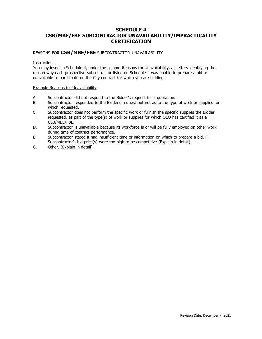#### **SCHEDULE 4 CSB/MBE/FBE SUBCONTRACTOR UNAVAILABILITY/IMPRACTICALITY CERTIFICATION**

#### REASONS FOR **CSB/MBE/FBE** SUBCONTRACTOR UNAVAILABILITY

#### Instructions:

You may insert in Schedule 4, under the column Reasons for Unavailability, all letters identifying the reason why each prospective subcontractor listed on Schedule 4 was unable to prepare a bid or unavailable to participate on the City contract for which you are bidding.

#### Example Reasons for Unavailability

- A. Subcontractor did not respond to the Bidder's request for a quotation.
- B. Subcontractor responded to the Bidder's request but not as to the type of work or supplies for which requested.
- C. Subcontractor does not perform the specific work or furnish the specific supplies the Bidder requested, as part of the type(s) of work or supplies for which OEO has certified it as a CSB/MBE/FBE.
- D. Subcontractor is unavailable because its workforce is or will be fully employed on other work during time of contract performance.
- E. Subcontractor stated it had insufficient time or information on which to prepare a bid. F. Subcontractor's bid price(s) were too high to be competitive (Explain in detail).
- G. Other. (Explain in detail)